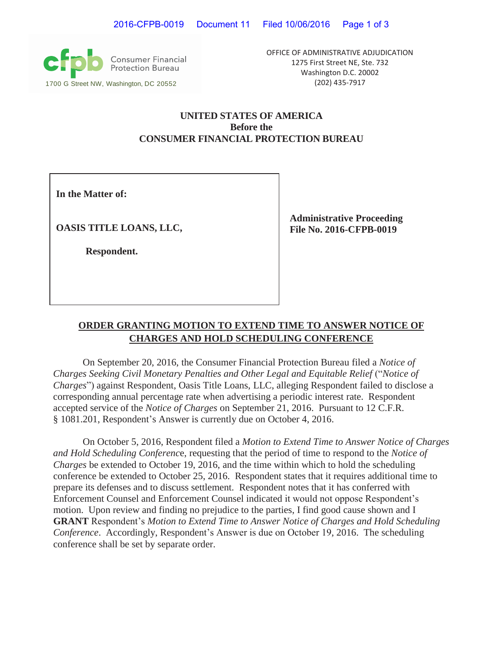**Consumer Financial**<br>Protection Bureau 1700 G Street NW, Washington, DC 20552 (202) 435-7917

OFFICE OF ADMINISTRATIVE ADJUDICATION 1275 First Street NE, Ste. 732 Washington D.C. 20002

# **UNITED STATES OF AMERICA Before the CONSUMER FINANCIAL PROTECTION BUREAU**

**In the Matter of:**

**OASIS TITLE LOANS, LLC,**

**Respondent.**

**Administrative Proceeding File No. 2016-CFPB-0019** 

# **ORDER GRANTING MOTION TO EXTEND TIME TO ANSWER NOTICE OF CHARGES AND HOLD SCHEDULING CONFERENCE**

On September 20, 2016, the Consumer Financial Protection Bureau filed a *Notice of Charges Seeking Civil Monetary Penalties and Other Legal and Equitable Relief* ("*Notice of Charges*") against Respondent, Oasis Title Loans, LLC, alleging Respondent failed to disclose a corresponding annual percentage rate when advertising a periodic interest rate. Respondent accepted service of the *Notice of Charges* on September 21, 2016. Pursuant to 12 C.F.R. § 1081.201, Respondent's Answer is currently due on October 4, 2016.

On October 5, 2016, Respondent filed a *Motion to Extend Time to Answer Notice of Charges and Hold Scheduling Conferenc*e, requesting that the period of time to respond to the *Notice of Charges* be extended to October 19, 2016, and the time within which to hold the scheduling conference be extended to October 25, 2016. Respondent states that it requires additional time to prepare its defenses and to discuss settlement. Respondent notes that it has conferred with Enforcement Counsel and Enforcement Counsel indicated it would not oppose Respondent's motion. Upon review and finding no prejudice to the parties, I find good cause shown and I **GRANT** Respondent's *Motion to Extend Time to Answer Notice of Charges and Hold Scheduling Conference*. Accordingly, Respondent's Answer is due on October 19, 2016. The scheduling conference shall be set by separate order.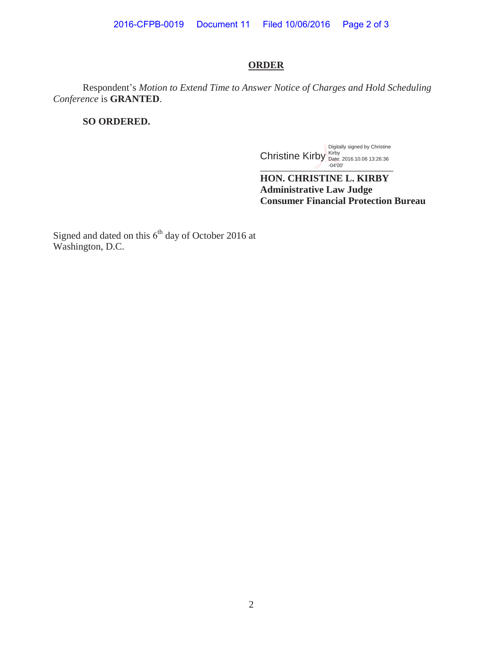#### **ORDER**

Respondent's *Motion to Extend Time to Answer Notice of Charges and Hold Scheduling Conference* is **GRANTED**.

## **SO ORDERED.**

\_\_\_\_\_\_\_\_\_\_\_\_\_\_\_\_\_\_\_\_\_\_\_\_\_\_\_ Christine Kirby **Sirby** Date: 2016.10.06 13:26:36 Digitally signed by Christine

**HON. CHRISTINE L. KIRBY Administrative Law Judge Consumer Financial Protection Bureau** 

Signed and dated on this  $6<sup>th</sup>$  day of October 2016 at Washington, D.C.